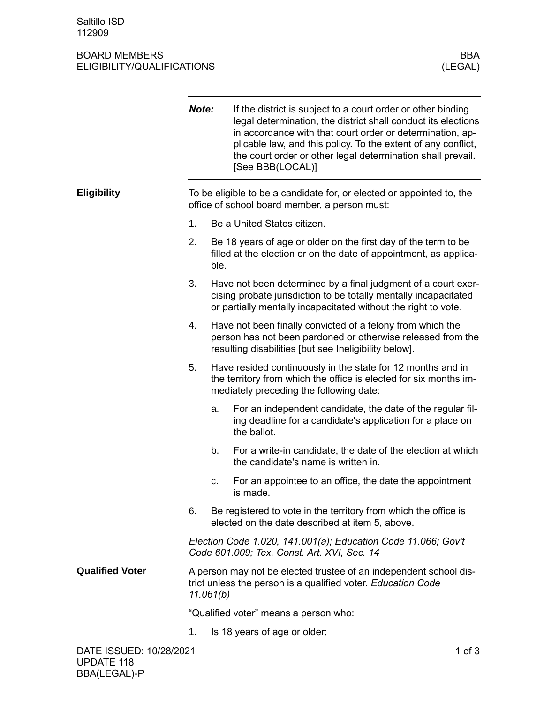## BOARD MEMBERS BOARD MEMBERS BOARD MEMBERS (LEGAL) ELIGIBILITY/QUALIFICATIONS

|                        | Note:                                                                                                                  |                                                                                                                                                                                                     | If the district is subject to a court order or other binding<br>legal determination, the district shall conduct its elections<br>in accordance with that court order or determination, ap-<br>plicable law, and this policy. To the extent of any conflict,<br>the court order or other legal determination shall prevail.<br>[See BBB(LOCAL)] |  |
|------------------------|------------------------------------------------------------------------------------------------------------------------|-----------------------------------------------------------------------------------------------------------------------------------------------------------------------------------------------------|------------------------------------------------------------------------------------------------------------------------------------------------------------------------------------------------------------------------------------------------------------------------------------------------------------------------------------------------|--|
| <b>Eligibility</b>     | To be eligible to be a candidate for, or elected or appointed to, the<br>office of school board member, a person must: |                                                                                                                                                                                                     |                                                                                                                                                                                                                                                                                                                                                |  |
|                        | 1.                                                                                                                     |                                                                                                                                                                                                     | Be a United States citizen.                                                                                                                                                                                                                                                                                                                    |  |
|                        | 2.                                                                                                                     | Be 18 years of age or older on the first day of the term to be<br>filled at the election or on the date of appointment, as applica-<br>ble.                                                         |                                                                                                                                                                                                                                                                                                                                                |  |
|                        | 3.                                                                                                                     | Have not been determined by a final judgment of a court exer-<br>cising probate jurisdiction to be totally mentally incapacitated<br>or partially mentally incapacitated without the right to vote. |                                                                                                                                                                                                                                                                                                                                                |  |
|                        | 4.                                                                                                                     | Have not been finally convicted of a felony from which the<br>person has not been pardoned or otherwise released from the<br>resulting disabilities [but see Ineligibility below].                  |                                                                                                                                                                                                                                                                                                                                                |  |
|                        | 5.                                                                                                                     | Have resided continuously in the state for 12 months and in<br>the territory from which the office is elected for six months im-<br>mediately preceding the following date:                         |                                                                                                                                                                                                                                                                                                                                                |  |
|                        |                                                                                                                        | a.                                                                                                                                                                                                  | For an independent candidate, the date of the regular fil-<br>ing deadline for a candidate's application for a place on<br>the ballot.                                                                                                                                                                                                         |  |
|                        |                                                                                                                        | b.                                                                                                                                                                                                  | For a write-in candidate, the date of the election at which<br>the candidate's name is written in.                                                                                                                                                                                                                                             |  |
|                        |                                                                                                                        | C.                                                                                                                                                                                                  | For an appointee to an office, the date the appointment<br>is made.                                                                                                                                                                                                                                                                            |  |
|                        | 6.                                                                                                                     |                                                                                                                                                                                                     | Be registered to vote in the territory from which the office is<br>elected on the date described at item 5, above.                                                                                                                                                                                                                             |  |
|                        | Election Code 1.020, 141.001(a); Education Code 11.066; Gov't<br>Code 601.009; Tex. Const. Art. XVI, Sec. 14           |                                                                                                                                                                                                     |                                                                                                                                                                                                                                                                                                                                                |  |
| <b>Qualified Voter</b> |                                                                                                                        | A person may not be elected trustee of an independent school dis-<br>trict unless the person is a qualified voter. Education Code<br>11.061(b)                                                      |                                                                                                                                                                                                                                                                                                                                                |  |
|                        | "Qualified voter" means a person who:                                                                                  |                                                                                                                                                                                                     |                                                                                                                                                                                                                                                                                                                                                |  |
|                        | 1.                                                                                                                     |                                                                                                                                                                                                     | Is 18 years of age or older;                                                                                                                                                                                                                                                                                                                   |  |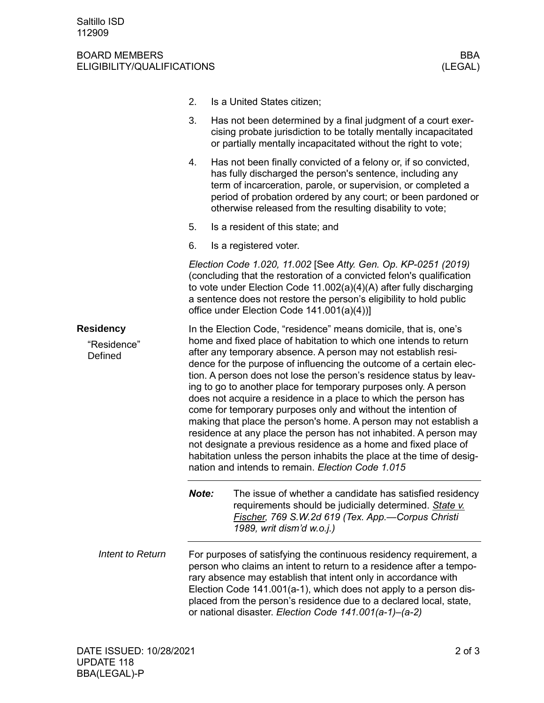## BOARD MEMBERS BBA ELIGIBILITY/QUALIFICATIONS (LEGAL)

- 2. Is a United States citizen;
- 3. Has not been determined by a final judgment of a court exercising probate jurisdiction to be totally mentally incapacitated or partially mentally incapacitated without the right to vote;
- 4. Has not been finally convicted of a felony or, if so convicted, has fully discharged the person's sentence, including any term of incarceration, parole, or supervision, or completed a period of probation ordered by any court; or been pardoned or otherwise released from the resulting disability to vote;
- 5. Is a resident of this state; and
- 6. Is a registered voter.

*Election Code 1.020, 11.002* [See *Atty. Gen. Op. KP-0251 (2019)* (concluding that the restoration of a convicted felon's qualification to vote under Election Code 11.002(a)(4)(A) after fully discharging a sentence does not restore the person's eligibility to hold public office under Election Code 141.001(a)(4))]

In the Election Code, "residence" means domicile, that is, one's home and fixed place of habitation to which one intends to return after any temporary absence. A person may not establish residence for the purpose of influencing the outcome of a certain election. A person does not lose the person's residence status by leaving to go to another place for temporary purposes only. A person does not acquire a residence in a place to which the person has come for temporary purposes only and without the intention of making that place the person's home. A person may not establish a residence at any place the person has not inhabited. A person may not designate a previous residence as a home and fixed place of habitation unless the person inhabits the place at the time of designation and intends to remain. *Election Code 1.015* **Residency** "Residence" **Defined** 

> *Note:* The issue of whether a candidate has satisfied residency requirements should be judicially determined. *State v. Fischer, 769 S.W.2d 619 (Tex. App.—Corpus Christi 1989, writ dism'd w.o.j.)*

For purposes of satisfying the continuous residency requirement, a person who claims an intent to return to a residence after a temporary absence may establish that intent only in accordance with Election Code 141.001(a-1), which does not apply to a person displaced from the person's residence due to a declared local, state, or national disaster. *Election Code 141.001(a-1)–(a-2) Intent to Return*